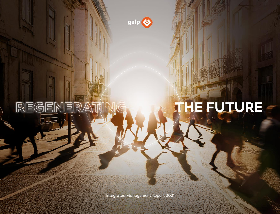

REGENER

# HE FUTURE

Integrated Management Report 2021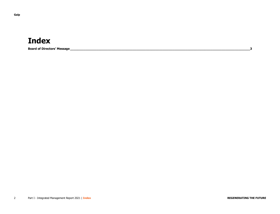### **Index**

**Board of Directors' Message[\\_\\_\\_\\_\\_\\_\\_\\_\\_\\_\\_\\_\\_\\_\\_\\_\\_\\_\\_\\_\\_\\_\\_\\_\\_\\_\\_\\_\\_\\_\\_\\_\\_\\_\\_\\_\\_\\_\\_\\_\\_\\_\\_\\_\\_\\_\\_\\_\\_\\_\\_\\_\\_\\_\\_\\_\\_\\_\\_\\_\\_\\_\\_\\_\\_\\_\\_\\_\\_\\_\\_\\_\\_\\_\\_\\_\\_\\_\\_\\_\\_\\_\\_\\_\\_\\_\\_\\_\\_\\_\\_\\_\\_\\_\\_3](#page-2-0)**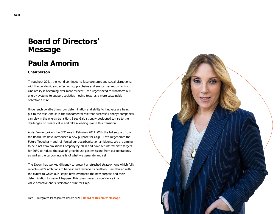## <span id="page-2-0"></span>**Board of Directors' Message**

## **Paula Amorim**

#### **Chairperson**

Throughout 2021, the world continued to face economic and social disruptions, with the pandemic also affecting supply chains and energy market dynamics. One reality is becoming ever more evident – the urgent need to transform our energy systems to support societies moving towards a more sustainable collective future.

Under such volatile times, our determination and ability to innovate are being put to the test. And so is the fundamental role that successful energy companies can play in the energy transition. I see Galp strongly positioned to rise to the challenges, to create value and take a leading role in this transition.

Andy Brown took on the CEO role in February 2021. With the full support from the Board, we have introduced a new purpose for Galp – Let's Regenerate the Future Together – and reinforced our decarbonisation ambitions. We are aiming to be a net zero emissions Company by 2050 and have set intermediate targets for 2030 to reduce the level of greenhouse gas emissions from our operations, as well as the carbon intensity of what we generate and sell.

The Excom has worked diligently to present a refreshed strategy, one which fully reflects Galp's ambitions to harvest and reshape its portfolio. I am thrilled with the extent to which our People have embraced the new purpose and their determination to make it happen. This gives me extra confidence in a value-accretive and sustainable future for Galp.